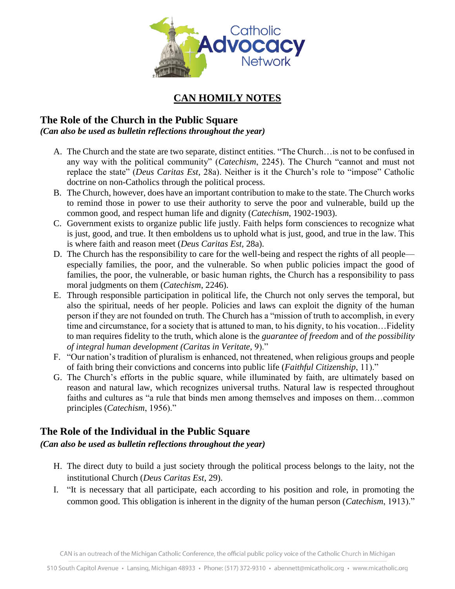

## **CAN HOMILY NOTES**

#### **The Role of the Church in the Public Square** *(Can also be used as bulletin reflections throughout the year)*

- A. The Church and the state are two separate, distinct entities. "The Church…is not to be confused in any way with the political community" (*Catechism*, 2245). The Church "cannot and must not replace the state" (*Deus Caritas Est,* 28a). Neither is it the Church's role to "impose" Catholic doctrine on non-Catholics through the political process.
- B. The Church, however, does have an important contribution to make to the state. The Church works to remind those in power to use their authority to serve the poor and vulnerable, build up the common good, and respect human life and dignity (*Catechism*, 1902-1903).
- C. Government exists to organize public life justly. Faith helps form consciences to recognize what is just, good, and true. It then emboldens us to uphold what is just, good, and true in the law. This is where faith and reason meet (*Deus Caritas Est,* 28a).
- D. The Church has the responsibility to care for the well-being and respect the rights of all people especially families, the poor, and the vulnerable. So when public policies impact the good of families, the poor, the vulnerable, or basic human rights, the Church has a responsibility to pass moral judgments on them (*Catechism*, 2246).
- E. Through responsible participation in political life, the Church not only serves the temporal, but also the spiritual, needs of her people. Policies and laws can exploit the dignity of the human person if they are not founded on truth. The Church has a "mission of truth to accomplish, in every time and circumstance, for a society that is attuned to man, to his dignity, to his vocation…Fidelity to man requires fidelity to the truth, which alone is the *guarantee of freedom* and of *the possibility of integral human development (Caritas in Veritate,* 9)."
- F. "Our nation's tradition of pluralism is enhanced, not threatened, when religious groups and people of faith bring their convictions and concerns into public life (*Faithful Citizenship*, 11)."
- G. The Church's efforts in the public square, while illuminated by faith, are ultimately based on reason and natural law, which recognizes universal truths. Natural law is respected throughout faiths and cultures as "a rule that binds men among themselves and imposes on them…common principles (*Catechism*, 1956)."

# **The Role of the Individual in the Public Square**

*(Can also be used as bulletin reflections throughout the year)*

- H. The direct duty to build a just society through the political process belongs to the laity, not the institutional Church (*Deus Caritas Est*, 29).
- I. "It is necessary that all participate, each according to his position and role, in promoting the common good. This obligation is inherent in the dignity of the human person (*Catechism*, 1913)."

CAN is an outreach of the Michigan Catholic Conference, the official public policy voice of the Catholic Church in Michigan